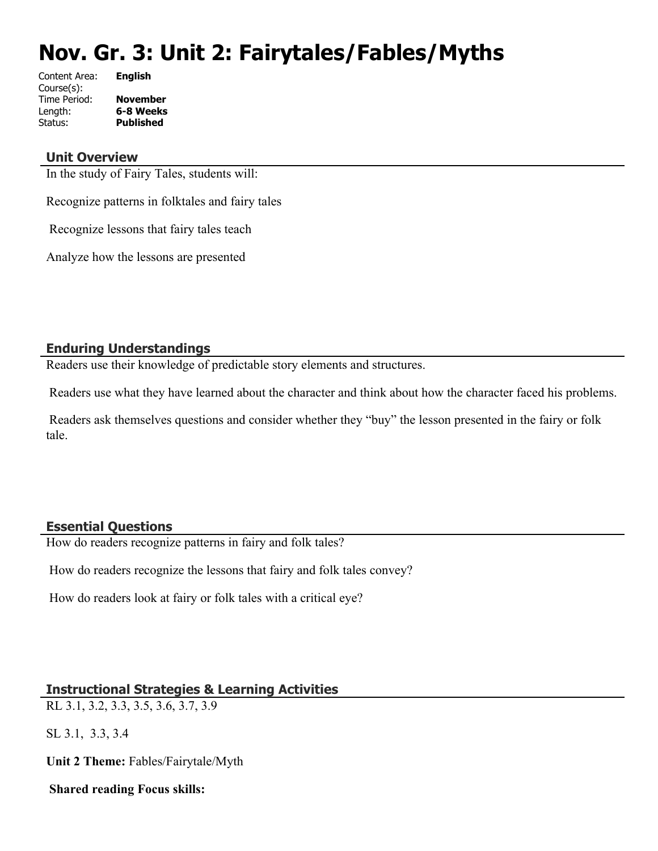# **Nov. Gr. 3: Unit 2: Fairytales/Fables/Myths**

| Content Area: | <b>English</b>   |
|---------------|------------------|
| Course(s):    |                  |
| Time Period:  | <b>November</b>  |
| Length:       | 6-8 Weeks        |
| Status:       | <b>Published</b> |
|               |                  |

#### **Unit Overview**

In the study of Fairy Tales, students will:

Recognize patterns in folktales and fairy tales

Recognize lessons that fairy tales teach

Analyze how the lessons are presented

## **Enduring Understandings**

Readers use their knowledge of predictable story elements and structures.

Readers use what they have learned about the character and think about how the character faced his problems.

 Readers ask themselves questions and consider whether they "buy" the lesson presented in the fairy or folk tale.

#### **Essential Questions**

How do readers recognize patterns in fairy and folk tales?

How do readers recognize the lessons that fairy and folk tales convey?

How do readers look at fairy or folk tales with a critical eye?

## **Instructional Strategies & Learning Activities**

RL 3.1, 3.2, 3.3, 3.5, 3.6, 3.7, 3.9

SL 3.1, 3.3, 3.4

**Unit 2 Theme:** Fables/Fairytale/Myth

 **Shared reading Focus skills:**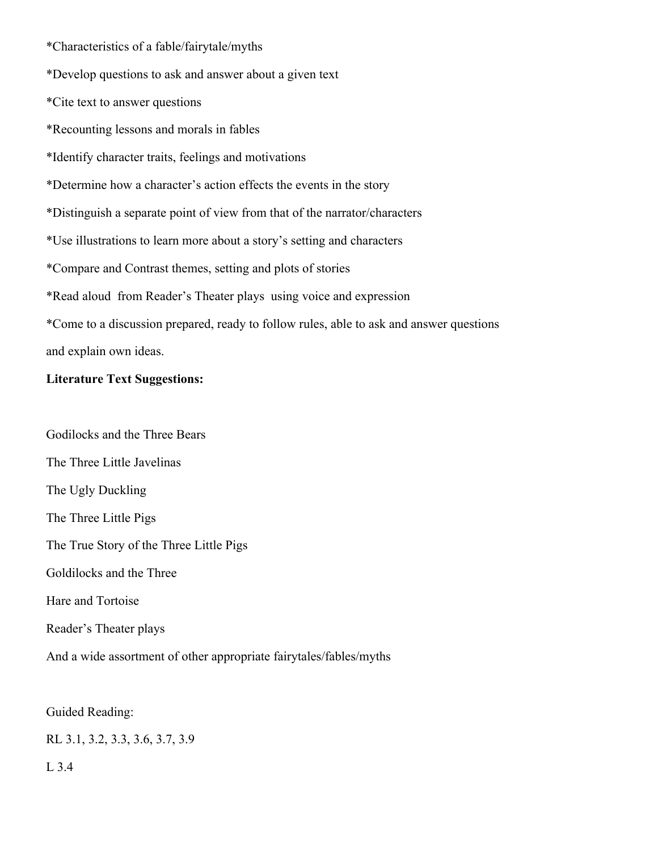\*Characteristics of a fable/fairytale/myths

\*Develop questions to ask and answer about a given text

\*Cite text to answer questions

\*Recounting lessons and morals in fables

\*Identify character traits, feelings and motivations

\*Determine how a character's action effects the events in the story

\*Distinguish a separate point of view from that of the narrator/characters

\*Use illustrations to learn more about a story's setting and characters

\*Compare and Contrast themes, setting and plots of stories

\*Read aloud from Reader's Theater plays using voice and expression

\*Come to a discussion prepared, ready to follow rules, able to ask and answer questions and explain own ideas.

## **Literature Text Suggestions:**

Godilocks and the Three Bears The Three Little Javelinas The Ugly Duckling The Three Little Pigs The True Story of the Three Little Pigs Goldilocks and the Three Hare and Tortoise Reader's Theater plays

And a wide assortment of other appropriate fairytales/fables/myths

Guided Reading:

RL 3.1, 3.2, 3.3, 3.6, 3.7, 3.9

L 3.4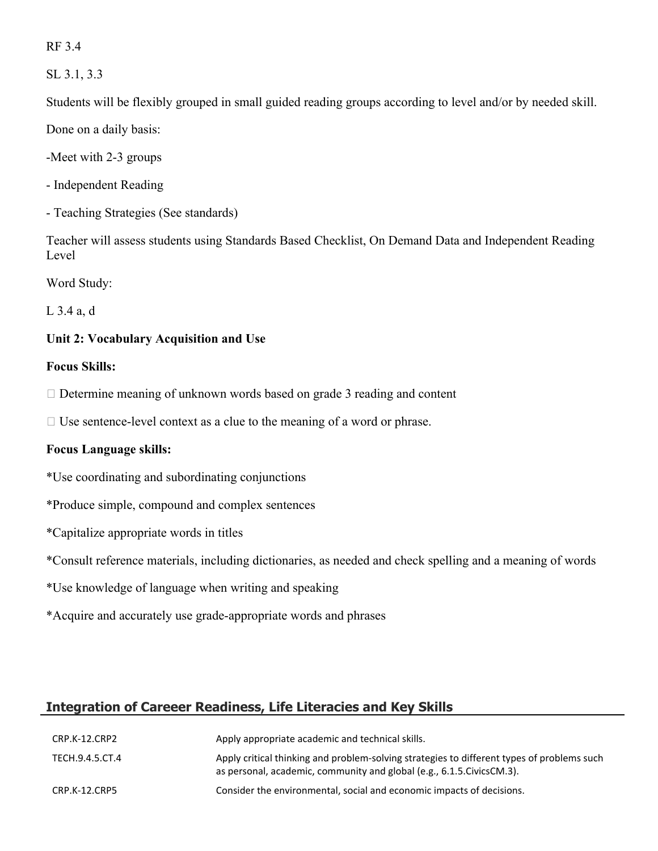RF 3.4

SL 3.1, 3.3

Students will be flexibly grouped in small guided reading groups according to level and/or by needed skill.

Done on a daily basis:

-Meet with 2-3 groups

- Independent Reading

- Teaching Strategies (See standards)

Teacher will assess students using Standards Based Checklist, On Demand Data and Independent Reading Level

Word Study:

L 3.4 a, d

## **Unit 2: Vocabulary Acquisition and Use**

#### **Focus Skills:**

 $\Box$  Determine meaning of unknown words based on grade 3 reading and content

 $\Box$  Use sentence-level context as a clue to the meaning of a word or phrase.

#### **Focus Language skills:**

\*Use coordinating and subordinating conjunctions

- \*Produce simple, compound and complex sentences
- \*Capitalize appropriate words in titles

\*Consult reference materials, including dictionaries, as needed and check spelling and a meaning of words

- \*Use knowledge of language when writing and speaking
- \*Acquire and accurately use grade-appropriate words and phrases

## **Integration of Careeer Readiness, Life Literacies and Key Skills**

| CRP.K-12.CRP2   | Apply appropriate academic and technical skills.                                                                                                                      |
|-----------------|-----------------------------------------------------------------------------------------------------------------------------------------------------------------------|
| TECH.9.4.5.CT.4 | Apply critical thinking and problem-solving strategies to different types of problems such<br>as personal, academic, community and global (e.g., 6.1.5. Civics CM.3). |
| CRP.K-12.CRP5   | Consider the environmental, social and economic impacts of decisions.                                                                                                 |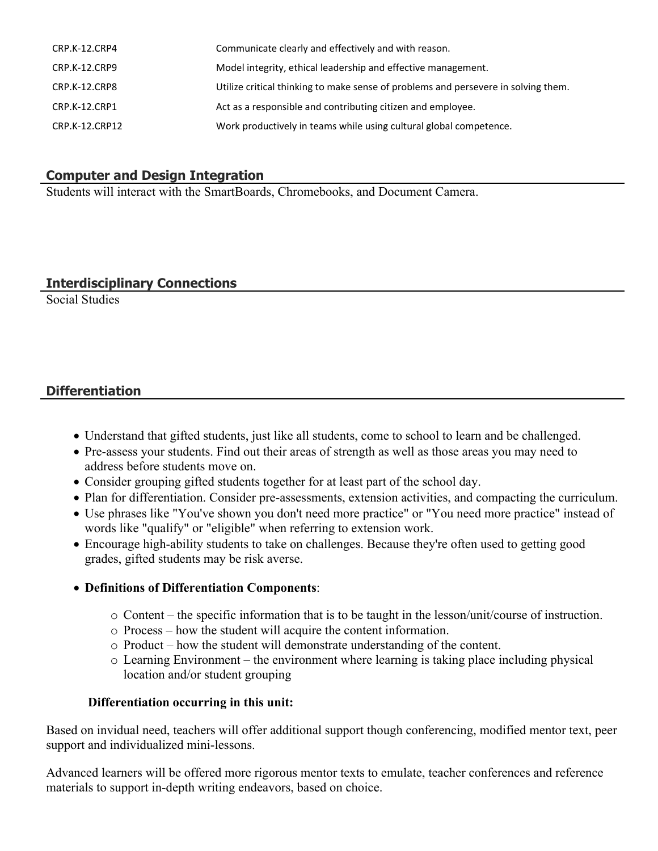| CRP.K-12.CRP4  | Communicate clearly and effectively and with reason.                               |
|----------------|------------------------------------------------------------------------------------|
| CRP.K-12.CRP9  | Model integrity, ethical leadership and effective management.                      |
| CRP.K-12.CRP8  | Utilize critical thinking to make sense of problems and persevere in solving them. |
| CRP.K-12.CRP1  | Act as a responsible and contributing citizen and employee.                        |
| CRP.K-12.CRP12 | Work productively in teams while using cultural global competence.                 |

## **Computer and Design Integration**

Students will interact with the SmartBoards, Chromebooks, and Document Camera.

#### **Interdisciplinary Connections**

Social Studies

## **Differentiation**

- Understand that gifted students, just like all students, come to school to learn and be challenged.
- Pre-assess your students. Find out their areas of strength as well as those areas you may need to address before students move on.
- Consider grouping gifted students together for at least part of the school day.
- Plan for differentiation. Consider pre-assessments, extension activities, and compacting the curriculum.
- Use phrases like "You've shown you don't need more practice" or "You need more practice" instead of words like "qualify" or "eligible" when referring to extension work.
- Encourage high-ability students to take on challenges. Because they're often used to getting good grades, gifted students may be risk averse.

#### **Definitions of Differentiation Components**:

- $\circ$  Content the specific information that is to be taught in the lesson/unit/course of instruction.
- o Process how the student will acquire the content information.
- o Product how the student will demonstrate understanding of the content.
- o Learning Environment the environment where learning is taking place including physical location and/or student grouping

#### **Differentiation occurring in this unit:**

Based on invidual need, teachers will offer additional support though conferencing, modified mentor text, peer support and individualized mini-lessons.

Advanced learners will be offered more rigorous mentor texts to emulate, teacher conferences and reference materials to support in-depth writing endeavors, based on choice.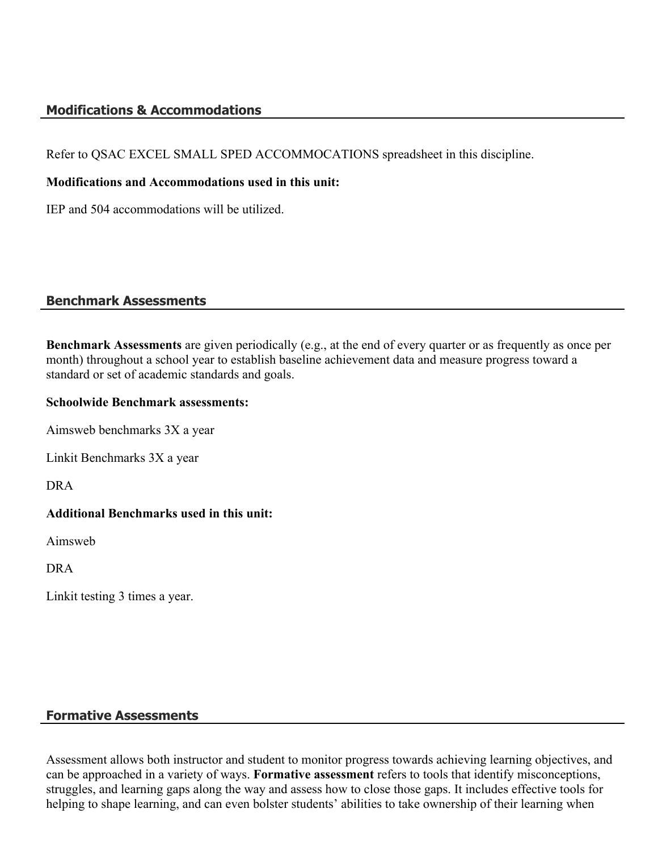## **Modifications & Accommodations**

Refer to QSAC EXCEL SMALL SPED ACCOMMOCATIONS spreadsheet in this discipline.

#### **Modifications and Accommodations used in this unit:**

IEP and 504 accommodations will be utilized.

#### **Benchmark Assessments**

**Benchmark Assessments** are given periodically (e.g., at the end of every quarter or as frequently as once per month) throughout a school year to establish baseline achievement data and measure progress toward a standard or set of academic standards and goals.

#### **Schoolwide Benchmark assessments:**

Aimsweb benchmarks 3X a year

Linkit Benchmarks 3X a year

DRA

#### **Additional Benchmarks used in this unit:**

Aimsweb

DRA

Linkit testing 3 times a year.

## **Formative Assessments**

Assessment allows both instructor and student to monitor progress towards achieving learning objectives, and can be approached in a variety of ways. **Formative assessment** refers to tools that identify misconceptions, struggles, and learning gaps along the way and assess how to close those gaps. It includes effective tools for helping to shape learning, and can even bolster students' abilities to take ownership of their learning when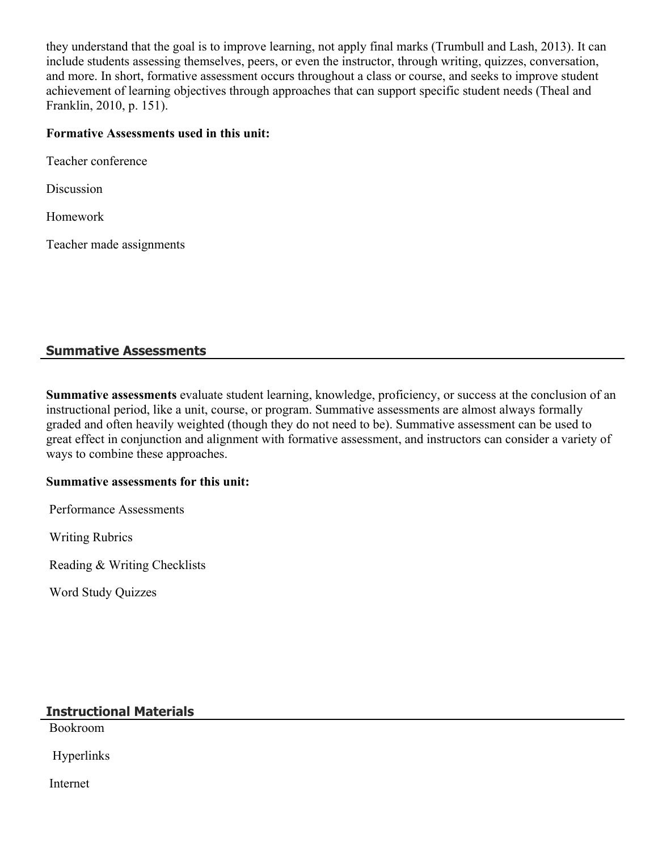they understand that the goal is to improve learning, not apply final marks (Trumbull and Lash, 2013). It can include students assessing themselves, peers, or even the instructor, through writing, quizzes, conversation, and more. In short, formative assessment occurs throughout a class or course, and seeks to improve student achievement of learning objectives through approaches that can support specific student needs (Theal and Franklin, 2010, p. 151).

#### **Formative Assessments used in this unit:**

Teacher conference

Discussion

Homework

Teacher made assignments

## **Summative Assessments**

**Summative assessments** evaluate student learning, knowledge, proficiency, or success at the conclusion of an instructional period, like a unit, course, or program. Summative assessments are almost always formally graded and often heavily weighted (though they do not need to be). Summative assessment can be used to great effect in conjunction and alignment with formative assessment, and instructors can consider a variety of ways to combine these approaches.

#### **Summative assessments for this unit:**

Performance Assessments

Writing Rubrics

Reading & Writing Checklists

Word Study Quizzes

## **Instructional Materials**

Bookroom

Hyperlinks

Internet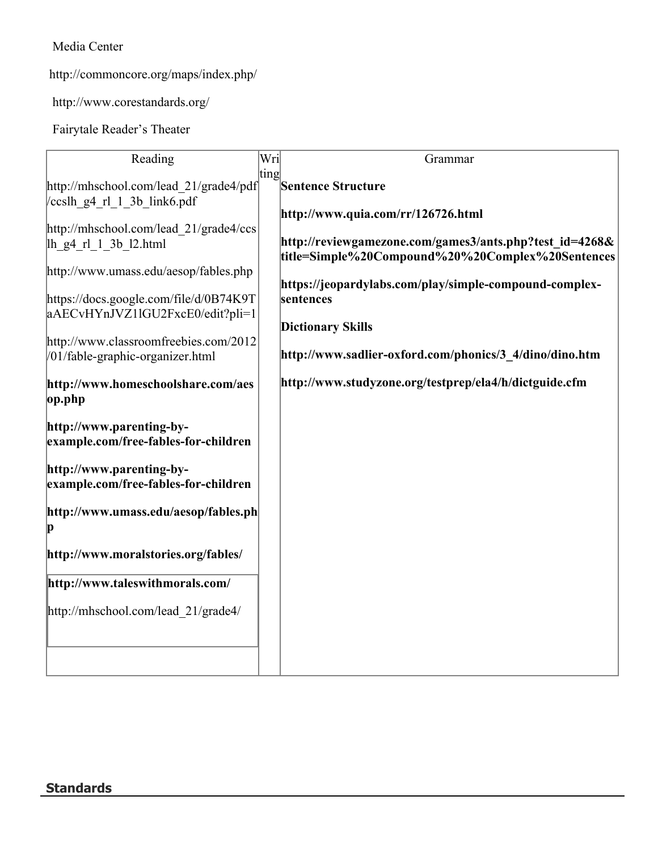Media Center

http://commoncore.org/maps/index.php/

http://www.corestandards.org/

Fairytale Reader's Theater

| Reading                                                                                                                                            | Wri  | Grammar                                                                                                                                                                            |
|----------------------------------------------------------------------------------------------------------------------------------------------------|------|------------------------------------------------------------------------------------------------------------------------------------------------------------------------------------|
| http://mhschool.com/lead 21/grade4/pdf                                                                                                             | ting | <b>Sentence Structure</b>                                                                                                                                                          |
| ccslh g4 rl 1 3b link6.pdf                                                                                                                         |      | http://www.quia.com/rr/126726.html                                                                                                                                                 |
| http://mhschool.com/lead 21/grade4/ccs<br>lh g4 rl 1 3b 12.html<br>http://www.umass.edu/aesop/fables.php<br>https://docs.google.com/file/d/0B74K9T |      | http://reviewgamezone.com/games3/ants.php?test id=4268&<br>title=Simple%20Compound%20%20Complex%20Sentences<br>https://jeopardylabs.com/play/simple-compound-complex-<br>sentences |
| aAECvHYnJVZ1lGU2FxcE0/edit?pli=1                                                                                                                   |      |                                                                                                                                                                                    |
| http://www.classroomfreebies.com/2012<br>/01/fable-graphic-organizer.html                                                                          |      | <b>Dictionary Skills</b><br>http://www.sadlier-oxford.com/phonics/3 4/dino/dino.htm                                                                                                |
| http://www.homeschoolshare.com/aes<br>op.php                                                                                                       |      | http://www.studyzone.org/testprep/ela4/h/dictguide.cfm                                                                                                                             |
| http://www.parenting-by-<br>example.com/free-fables-for-children                                                                                   |      |                                                                                                                                                                                    |
| http://www.parenting-by-<br>example.com/free-fables-for-children                                                                                   |      |                                                                                                                                                                                    |
| http://www.umass.edu/aesop/fables.ph<br>p                                                                                                          |      |                                                                                                                                                                                    |
| http://www.moralstories.org/fables/                                                                                                                |      |                                                                                                                                                                                    |
| http://www.taleswithmorals.com/                                                                                                                    |      |                                                                                                                                                                                    |
| http://mhschool.com/lead 21/grade4/                                                                                                                |      |                                                                                                                                                                                    |
|                                                                                                                                                    |      |                                                                                                                                                                                    |